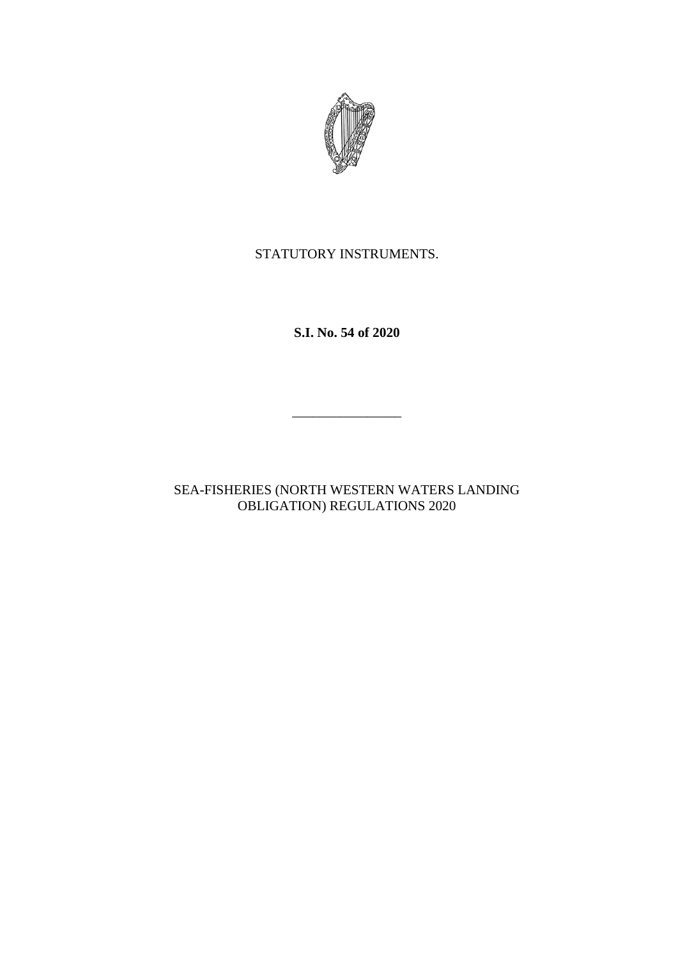

# STATUTORY INSTRUMENTS.

**S.I. No. 54 of 2020**

 $\frac{1}{2}$ 

SEA-FISHERIES (NORTH WESTERN WATERS LANDING OBLIGATION) REGULATIONS 2020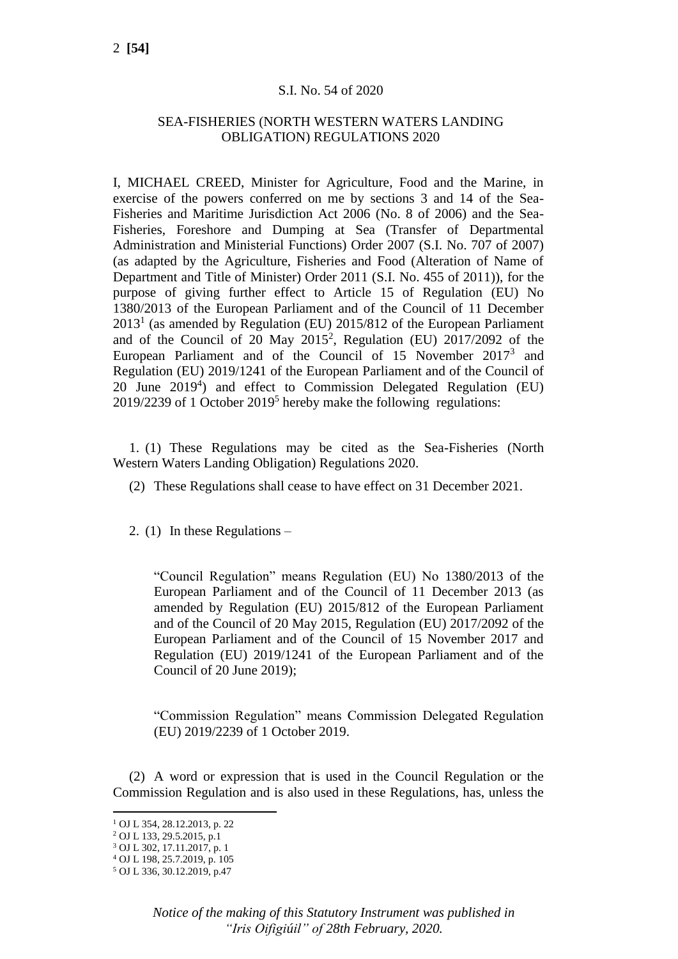### S.I. No. 54 of 2020

## SEA-FISHERIES (NORTH WESTERN WATERS LANDING OBLIGATION) REGULATIONS 2020

I, MICHAEL CREED, Minister for Agriculture, Food and the Marine, in exercise of the powers conferred on me by sections 3 and 14 of the Sea-Fisheries and Maritime Jurisdiction Act 2006 (No. 8 of 2006) and the Sea-Fisheries, Foreshore and Dumping at Sea (Transfer of Departmental Administration and Ministerial Functions) Order 2007 (S.I. No. 707 of 2007) (as adapted by the Agriculture, Fisheries and Food (Alteration of Name of Department and Title of Minister) Order 2011 (S.I. No. 455 of 2011)), for the purpose of giving further effect to Article 15 of Regulation (EU) No 1380/2013 of the European Parliament and of the Council of 11 December  $2013<sup>1</sup>$  (as amended by Regulation (EU) 2015/812 of the European Parliament and of the Council of 20 May 2015<sup>2</sup>, Regulation (EU) 2017/2092 of the European Parliament and of the Council of  $15$  November  $2017<sup>3</sup>$  and Regulation (EU) 2019/1241 of the European Parliament and of the Council of 20 June 2019<sup>4</sup>) and effect to Commission Delegated Regulation (EU) 2019/2239 of 1 October 2019<sup>5</sup> hereby make the following regulations:

1. (1) These Regulations may be cited as the Sea-Fisheries (North Western Waters Landing Obligation) Regulations 2020.

- (2) These Regulations shall cease to have effect on 31 December 2021.
- 2. (1) In these Regulations –

"Council Regulation" means Regulation (EU) No 1380/2013 of the European Parliament and of the Council of 11 December 2013 (as amended by Regulation (EU) 2015/812 of the European Parliament and of the Council of 20 May 2015, Regulation (EU) 2017/2092 of the European Parliament and of the Council of 15 November 2017 and Regulation (EU) 2019/1241 of the European Parliament and of the Council of 20 June 2019);

"Commission Regulation" means Commission Delegated Regulation (EU) 2019/2239 of 1 October 2019.

(2) A word or expression that is used in the Council Regulation or the Commission Regulation and is also used in these Regulations, has, unless the

<sup>1</sup> OJ L 354, 28.12.2013, p. 22

<sup>2</sup> OJ L 133, 29.5.2015, p.1

<sup>3</sup> OJ L 302, 17.11.2017, p. 1

<sup>4</sup> OJ L 198, 25.7.2019, p. 105 <sup>5</sup> OJ L 336, 30.12.2019, p.47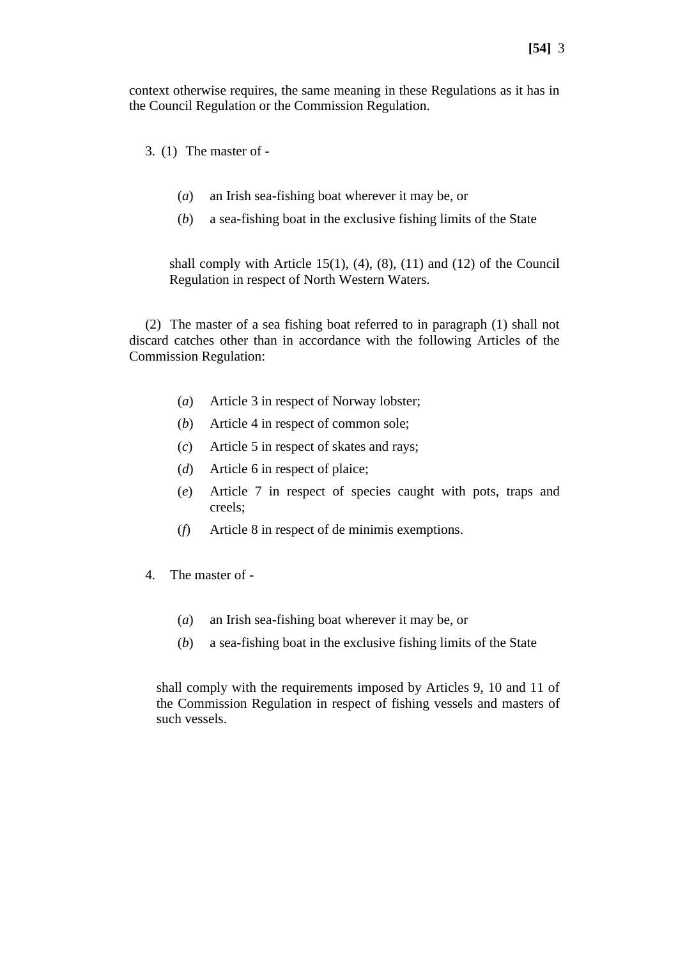context otherwise requires, the same meaning in these Regulations as it has in the Council Regulation or the Commission Regulation.

3. (1) The master of -

- (*a*) an Irish sea-fishing boat wherever it may be, or
- (*b*) a sea-fishing boat in the exclusive fishing limits of the State

shall comply with Article 15(1),  $(4)$ ,  $(8)$ ,  $(11)$  and  $(12)$  of the Council Regulation in respect of North Western Waters.

(2) The master of a sea fishing boat referred to in paragraph (1) shall not discard catches other than in accordance with the following Articles of the Commission Regulation:

- (*a*) Article 3 in respect of Norway lobster;
- (*b*) Article 4 in respect of common sole;
- (*c*) Article 5 in respect of skates and rays;
- (*d*) Article 6 in respect of plaice;
- (*e*) Article 7 in respect of species caught with pots, traps and creels;
- (*f*) Article 8 in respect of de minimis exemptions.
- 4. The master of
	- (*a*) an Irish sea-fishing boat wherever it may be, or
	- (*b*) a sea-fishing boat in the exclusive fishing limits of the State

shall comply with the requirements imposed by Articles 9, 10 and 11 of the Commission Regulation in respect of fishing vessels and masters of such vessels.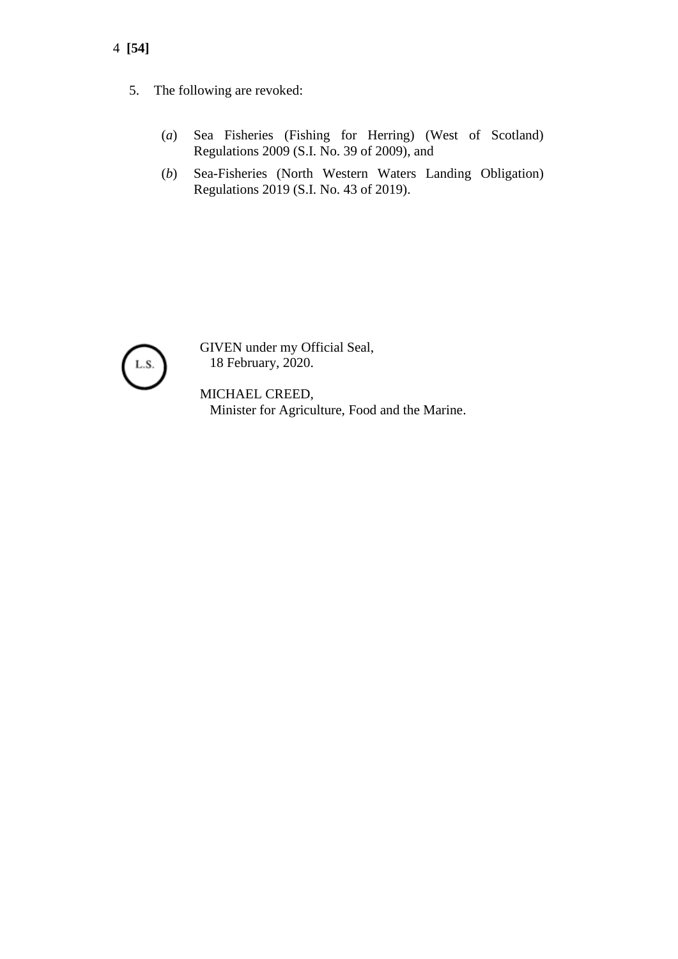- 4 **[54]**
	- 5. The following are revoked:
		- (*a*) Sea Fisheries (Fishing for Herring) (West of Scotland) Regulations 2009 (S.I. No. 39 of 2009), and
		- (*b*) Sea-Fisheries (North Western Waters Landing Obligation) Regulations 2019 (S.I. No. 43 of 2019).



GIVEN under my Official Seal, 18 February, 2020.

MICHAEL CREED, Minister for Agriculture, Food and the Marine.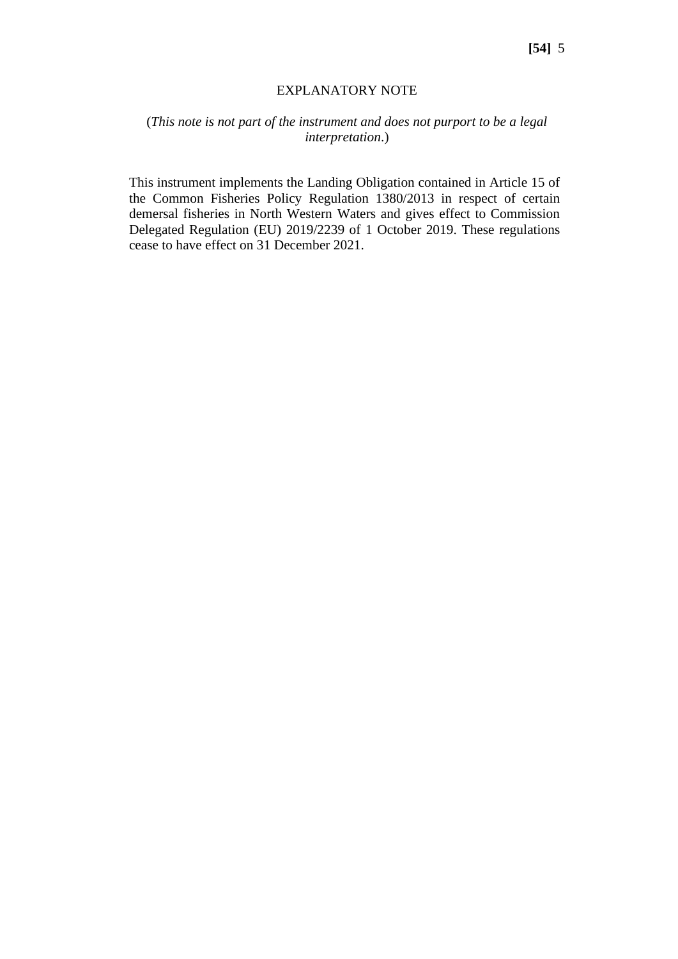#### EXPLANATORY NOTE

## (*This note is not part of the instrument and does not purport to be a legal interpretation*.)

This instrument implements the Landing Obligation contained in Article 15 of the Common Fisheries Policy Regulation 1380/2013 in respect of certain demersal fisheries in North Western Waters and gives effect to Commission Delegated Regulation (EU) 2019/2239 of 1 October 2019. These regulations cease to have effect on 31 December 2021.